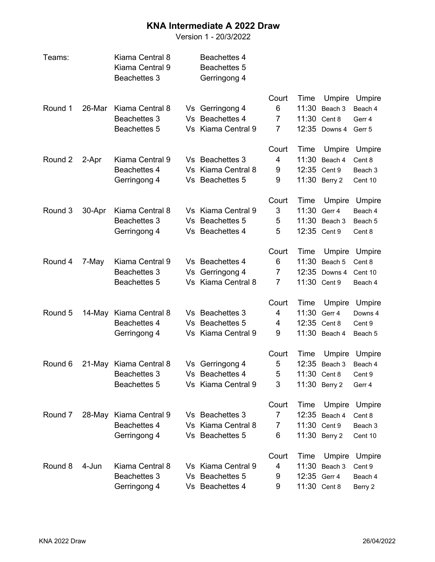## **KNA Intermediate A 2022 Draw**

Version 1 - 20/3/2022

| Teams:  |        | Kiama Central 8<br>Kiama Central 9<br><b>Beachettes 3</b> |    | <b>Beachettes 4</b><br>Beachettes 5<br>Gerringong 4 |                |       |               |               |
|---------|--------|-----------------------------------------------------------|----|-----------------------------------------------------|----------------|-------|---------------|---------------|
|         |        |                                                           |    |                                                     | Court          | Time  | Umpire        | <b>Umpire</b> |
| Round 1 | 26-Mar | Kiama Central 8                                           |    | Vs Gerringong 4                                     | 6              | 11:30 | Beach 3       | Beach 4       |
|         |        | <b>Beachettes 3</b>                                       | Vs | <b>Beachettes 4</b>                                 | $\overline{7}$ | 11:30 | Cent 8        | Gerr 4        |
|         |        | Beachettes 5                                              |    | Vs Kiama Central 9                                  | 7              |       | 12:35 Downs 4 | Gerr 5        |
|         |        |                                                           |    |                                                     | Court          | Time  | Umpire        | Umpire        |
| Round 2 | 2-Apr  | Kiama Central 9                                           |    | Vs Beachettes 3                                     | 4              | 11:30 | Beach 4       | Cent 8        |
|         |        | Beachettes 4                                              | Vs | Kiama Central 8                                     | 9              |       | 12:35 Cent 9  | Beach 3       |
|         |        | Gerringong 4                                              |    | Vs Beachettes 5                                     | 9              |       | 11:30 Berry 2 | Cent 10       |
|         |        |                                                           |    |                                                     | Court          | Time  | Umpire        | Umpire        |
| Round 3 | 30-Apr | Kiama Central 8                                           |    | Vs Kiama Central 9                                  | 3              | 11:30 | Gerr 4        | Beach 4       |
|         |        | <b>Beachettes 3</b>                                       | Vs | <b>Beachettes 5</b>                                 | 5              | 11:30 | Beach 3       | Beach 5       |
|         |        | Gerringong 4                                              |    | Vs Beachettes 4                                     | 5              |       | 12:35 Cent 9  | Cent 8        |
|         |        |                                                           |    |                                                     | Court          | Time  | Umpire        | Umpire        |
| Round 4 | 7-May  | Kiama Central 9                                           |    | Vs Beachettes 4                                     | 6              | 11:30 | Beach 5       | Cent 8        |
|         |        | <b>Beachettes 3</b>                                       | Vs | Gerringong 4                                        | 7              | 12:35 | Downs 4       | Cent 10       |
|         |        | Beachettes 5                                              |    | Vs Kiama Central 8                                  | $\overline{7}$ |       | 11:30 Cent 9  | Beach 4       |
|         |        |                                                           |    |                                                     | Court          | Time  | Umpire        | Umpire        |
| Round 5 | 14-May | Kiama Central 8                                           |    | Vs Beachettes 3                                     | 4              | 11:30 | Gerr 4        | Downs 4       |
|         |        | Beachettes 4                                              | Vs | <b>Beachettes 5</b>                                 | 4              | 12:35 | Cent 8        | Cent 9        |
|         |        | Gerringong 4                                              |    | Vs Kiama Central 9                                  | 9              |       | 11:30 Beach 4 | Beach 5       |
|         |        |                                                           |    |                                                     | Court          | Time  | Umpire        | Umpire        |
| Round 6 |        | 21-May Kiama Central 8                                    |    | Vs Gerringong 4                                     | 5              | 12:35 | Beach 3       | Beach 4       |
|         |        | <b>Beachettes 3</b>                                       |    | Vs Beachettes 4                                     | 5              |       | 11:30 Cent 8  | Cent 9        |
|         |        | Beachettes 5                                              |    | Vs Kiama Central 9                                  | 3              |       | 11:30 Berry 2 | Gerr 4        |
|         |        |                                                           |    |                                                     | Court          | Time  | Umpire        | <b>Umpire</b> |
| Round 7 | 28-May | Kiama Central 9                                           |    | Vs Beachettes 3                                     | 7              |       | 12:35 Beach 4 | Cent 8        |
|         |        | Beachettes 4                                              |    | Vs Kiama Central 8                                  | 7              |       | 11:30 Cent 9  | Beach 3       |
|         |        | Gerringong 4                                              |    | Vs Beachettes 5                                     | 6              |       | 11:30 Berry 2 | Cent 10       |
|         |        |                                                           |    |                                                     | Court          | Time  | Umpire        | Umpire        |
| Round 8 | 4-Jun  | Kiama Central 8                                           |    | Vs Kiama Central 9                                  | 4              | 11:30 | Beach 3       | Cent 9        |
|         |        | <b>Beachettes 3</b>                                       |    | Vs Beachettes 5                                     | 9              |       | 12:35 Gerr 4  | Beach 4       |
|         |        | Gerringong 4                                              |    | Vs Beachettes 4                                     | 9              |       | 11:30 Cent 8  | Berry 2       |